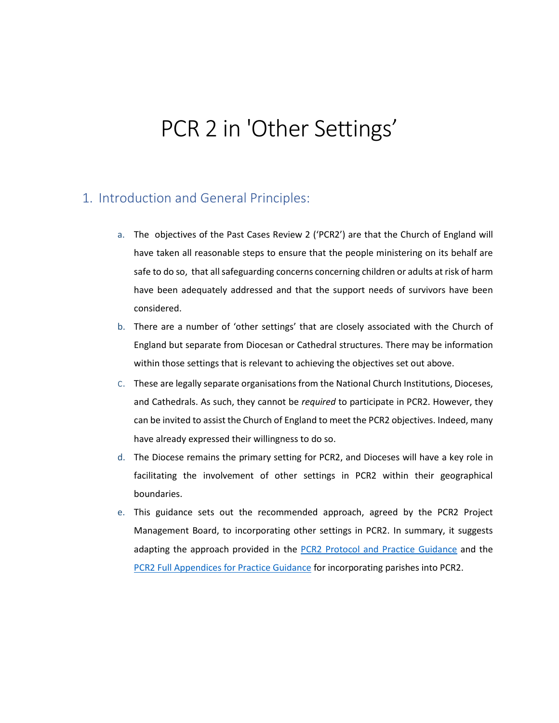# PCR 2 in 'Other Settings'

## 1. Introduction and General Principles:

- a. The objectives of the Past Cases Review 2 ('PCR2') are that the Church of England will have taken all reasonable steps to ensure that the people ministering on its behalf are safe to do so, that all safeguarding concerns concerning children or adults at risk of harm have been adequately addressed and that the support needs of survivors have been considered.
- b. There are a number of 'other settings' that are closely associated with the Church of England but separate from Diocesan or Cathedral structures. There may be information within those settings that is relevant to achieving the objectives set out above.
- c. These are legally separate organisations from the National Church Institutions, Dioceses, and Cathedrals. As such, they cannot be *required* to participate in PCR2. However, they can be invited to assist the Church of England to meet the PCR2 objectives. Indeed, many have already expressed their willingness to do so.
- d. The Diocese remains the primary setting for PCR2, and Dioceses will have a key role in facilitating the involvement of other settings in PCR2 within their geographical boundaries.
- e. This guidance sets out the recommended approach, agreed by the PCR2 Project Management Board, to incorporating other settings in PCR2. In summary, it suggests adapting the approach provided in the [PCR2 Protocol and Practice Guidance](https://www.churchofengland.org/sites/default/files/2019-08/PCR2%20Protocol%20and%20Practice%20Guidance.pdf) and the [PCR2 Full Appendices for Practice Guidance](https://www.churchofengland.org/sites/default/files/2019-08/PCR2%20Full%20Appendices%20for%20Practice%20Guidance.pdf) for incorporating parishes into PCR2.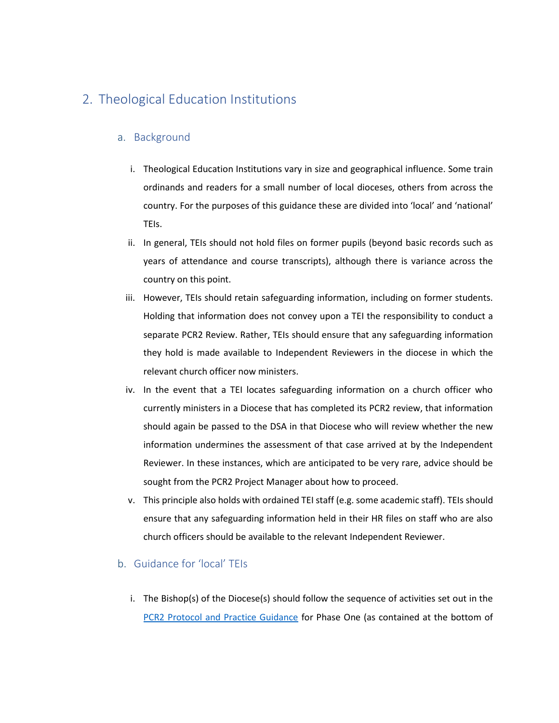## 2. Theological Education Institutions

#### a. Background

- i. Theological Education Institutions vary in size and geographical influence. Some train ordinands and readers for a small number of local dioceses, others from across the country. For the purposes of this guidance these are divided into 'local' and 'national' TEIs.
- ii. In general, TEIs should not hold files on former pupils (beyond basic records such as years of attendance and course transcripts), although there is variance across the country on this point.
- iii. However, TEIs should retain safeguarding information, including on former students. Holding that information does not convey upon a TEI the responsibility to conduct a separate PCR2 Review. Rather, TEIs should ensure that any safeguarding information they hold is made available to Independent Reviewers in the diocese in which the relevant church officer now ministers.
- iv. In the event that a TEI locates safeguarding information on a church officer who currently ministers in a Diocese that has completed its PCR2 review, that information should again be passed to the DSA in that Diocese who will review whether the new information undermines the assessment of that case arrived at by the Independent Reviewer. In these instances, which are anticipated to be very rare, advice should be sought from the PCR2 Project Manager about how to proceed.
- v. This principle also holds with ordained TEI staff (e.g. some academic staff). TEIs should ensure that any safeguarding information held in their HR files on staff who are also church officers should be available to the relevant Independent Reviewer.

### b. Guidance for 'local' TEIs

i. The Bishop(s) of the Diocese(s) should follow the sequence of activities set out in the [PCR2 Protocol and Practice Guidance](https://www.churchofengland.org/sites/default/files/2019-08/PCR2%20Protocol%20and%20Practice%20Guidance.pdf) for Phase One (as contained at the bottom of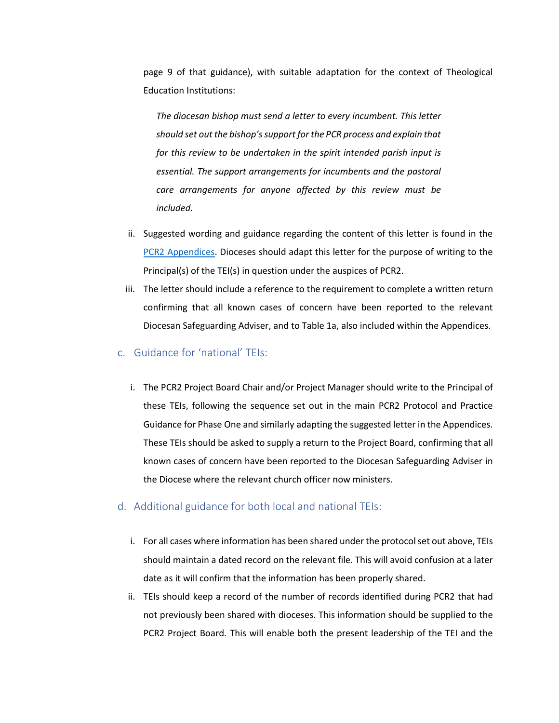page 9 of that guidance), with suitable adaptation for the context of Theological Education Institutions:

*The diocesan bishop must send a letter to every incumbent. This letter should set out the bishop's support for the PCR process and explain that for this review to be undertaken in the spirit intended parish input is essential. The support arrangements for incumbents and the pastoral care arrangements for anyone affected by this review must be included.*

- ii. Suggested wording and guidance regarding the content of this letter is found in the [PCR2 Appendices.](https://www.churchofengland.org/sites/default/files/2019-08/PCR2%20Full%20Appendices%20for%20Practice%20Guidance.pdf) Dioceses should adapt this letter for the purpose of writing to the Principal(s) of the TEI(s) in question under the auspices of PCR2.
- iii. The letter should include a reference to the requirement to complete a written return confirming that all known cases of concern have been reported to the relevant Diocesan Safeguarding Adviser, and to Table 1a, also included within the Appendices.
- c. Guidance for 'national' TEIs:
	- i. The PCR2 Project Board Chair and/or Project Manager should write to the Principal of these TEIs, following the sequence set out in the main PCR2 Protocol and Practice Guidance for Phase One and similarly adapting the suggested letter in the Appendices. These TEIs should be asked to supply a return to the Project Board, confirming that all known cases of concern have been reported to the Diocesan Safeguarding Adviser in the Diocese where the relevant church officer now ministers.
- d. Additional guidance for both local and national TEIs:
	- i. For all cases where information has been shared under the protocol set out above, TEIs should maintain a dated record on the relevant file. This will avoid confusion at a later date as it will confirm that the information has been properly shared.
	- ii. TEIs should keep a record of the number of records identified during PCR2 that had not previously been shared with dioceses. This information should be supplied to the PCR2 Project Board. This will enable both the present leadership of the TEI and the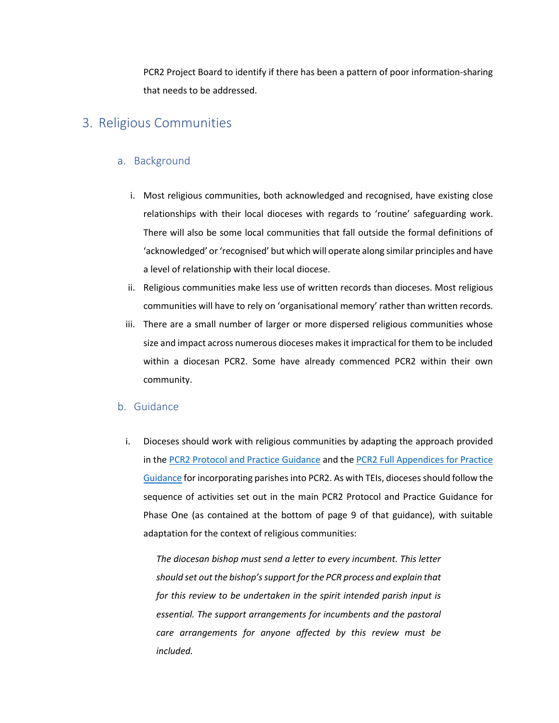PCR2 Project Board to identify if there has been a pattern of poor information-sharing that needs to be addressed.

## 3. Religious Communities

#### a. Background

- i. Most religious communities, both acknowledged and recognised, have existing close relationships with their local dioceses with regards to 'routine' safeguarding work. There will also be some local communities that fall outside the formal definitions of 'acknowledged' or'recognised' but which will operate along similar principles and have a level of relationship with their local diocese.
- ii. Religious communities make less use of written records than dioceses. Most religious communities will have to rely on 'organisational memory' rather than written records.
- iii. There are a small number of larger or more dispersed religious communities whose size and impact across numerous dioceses makes it impractical for them to be included within a diocesan PCR2. Some have already commenced PCR2 within their own community.

#### b. Guidance

i. Dioceses should work with religious communities by adapting the approach provided in the [PCR2 Protocol and Practice Guidance](https://www.churchofengland.org/sites/default/files/2019-08/PCR2%20Protocol%20and%20Practice%20Guidance.pdf) and th[e PCR2 Full Appendices for Practice](https://www.churchofengland.org/sites/default/files/2019-08/PCR2%20Full%20Appendices%20for%20Practice%20Guidance.pdf)  [Guidance](https://www.churchofengland.org/sites/default/files/2019-08/PCR2%20Full%20Appendices%20for%20Practice%20Guidance.pdf) for incorporating parishes into PCR2. As with TEIs, dioceses should follow the sequence of activities set out in the main PCR2 Protocol and Practice Guidance for Phase One (as contained at the bottom of page 9 of that guidance), with suitable adaptation for the context of religious communities:

*The diocesan bishop must send a letter to every incumbent. This letter should set out the bishop's support for the PCR process and explain that for this review to be undertaken in the spirit intended parish input is essential. The support arrangements for incumbents and the pastoral care arrangements for anyone affected by this review must be included.*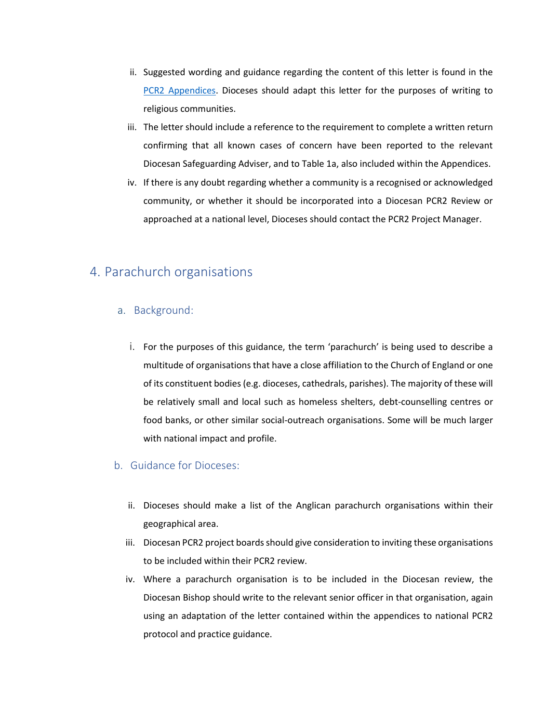- ii. Suggested wording and guidance regarding the content of this letter is found in the PCR2 Appendices. Dioceses should adapt this letter for the purposes of writing to religious communities.
- iii. The letter should include a reference to the requirement to complete a written return confirming that all known cases of concern have been reported to the relevant Diocesan Safeguarding Adviser, and to Table 1a, also included within the Appendices.
- iv. If there is any doubt regarding whether a community is a recognised or acknowledged community, or whether it should be incorporated into a Diocesan PCR2 Review or approached at a national level, Dioceses should contact the PCR2 Project Manager.

## 4. Parachurch organisations

#### a. Background:

i. For the purposes of this guidance, the term 'parachurch' is being used to describe a multitude of organisations that have a close affiliation to the Church of England or one of its constituent bodies (e.g. dioceses, cathedrals, parishes). The majority of these will be relatively small and local such as homeless shelters, debt-counselling centres or food banks, or other similar social-outreach organisations. Some will be much larger with national impact and profile.

#### b. Guidance for Dioceses:

- ii. Dioceses should make a list of the Anglican parachurch organisations within their geographical area.
- iii. Diocesan PCR2 project boards should give consideration to inviting these organisations to be included within their PCR2 review.
- iv. Where a parachurch organisation is to be included in the Diocesan review, the Diocesan Bishop should write to the relevant senior officer in that organisation, again using an adaptation of the letter contained within the appendices to national PCR2 protocol and practice guidance.